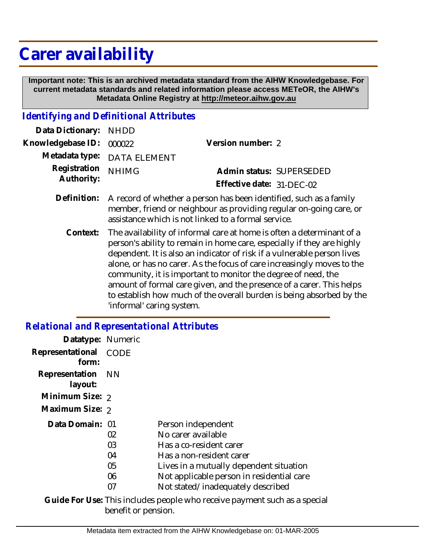# **Carer availability**

 **Important note: This is an archived metadata standard from the AIHW Knowledgebase. For current metadata standards and related information please access METeOR, the AIHW's Metadata Online Registry at http://meteor.aihw.gov.au**

## *Identifying and Definitional Attributes*

| Data Dictionary: NHDD            |                                                                            |                           |                          |
|----------------------------------|----------------------------------------------------------------------------|---------------------------|--------------------------|
| Knowledgebase ID: 000022         |                                                                            | Version number: 2         |                          |
|                                  | Metadata type: DATA ELEMENT                                                |                           |                          |
| Registration NHIMG<br>Authority: |                                                                            |                           | Admin status: SUPERSEDED |
|                                  |                                                                            | Effective date: 31-DEC-02 |                          |
|                                  | Definition: A record of whether a person has been identified such as a far |                           |                          |

- Definition: A record of whether a person has been identified, such as a family member, friend or neighbour as providing regular on-going care, or assistance which is not linked to a formal service.
	- The availability of informal care at home is often a determinant of a person's ability to remain in home care, especially if they are highly dependent. It is also an indicator of risk if a vulnerable person lives alone, or has no carer. As the focus of care increasingly moves to the community, it is important to monitor the degree of need, the amount of formal care given, and the presence of a carer. This helps to establish how much of the overall burden is being absorbed by the 'informal' caring system. **Context:**

## *Relational and Representational Attributes*

| Datatype: Numeric            |      |                                                                           |
|------------------------------|------|---------------------------------------------------------------------------|
| Representational<br>form:    | CODE |                                                                           |
| Representation NN<br>layout: |      |                                                                           |
| Minimum Size: 2              |      |                                                                           |
| Maximum Size: 2              |      |                                                                           |
| Data Domain: 01              |      | Person independent                                                        |
|                              | 02   | No carer available                                                        |
|                              | 03   | Has a co-resident carer                                                   |
|                              | 04   | Has a non-resident carer                                                  |
|                              | 05   | Lives in a mutually dependent situation                                   |
|                              | 06   | Not applicable person in residential care                                 |
|                              | 07   | Not stated/inadequately described                                         |
|                              |      | Guide For Use: This includes people who receive payment such as a special |

benefit or pension.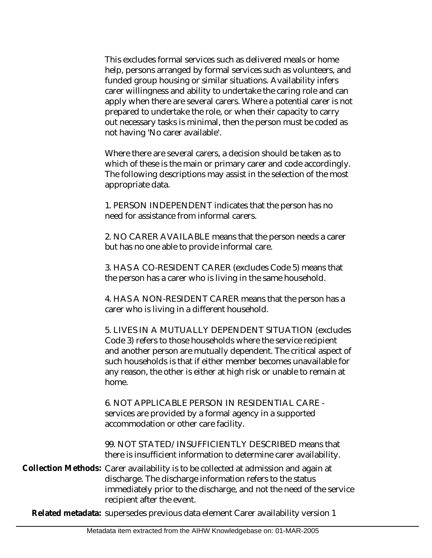This excludes formal services such as delivered meals or home help, persons arranged by formal services such as volunteers, and funded group housing or similar situations. Availability infers carer willingness and ability to undertake the caring role and can apply when there are several carers. Where a potential carer is not prepared to undertake the role, or when their capacity to carry out necessary tasks is minimal, then the person must be coded as not having 'No carer available'.

Where there are several carers, a decision should be taken as to which of these is the main or primary carer and code accordingly. The following descriptions may assist in the selection of the most appropriate data.

1. PERSON INDEPENDENT indicates that the person has no need for assistance from informal carers.

2. NO CARER AVAILABLE means that the person needs a carer but has no one able to provide informal care.

3. HAS A CO-RESIDENT CARER (excludes Code 5) means that the person has a carer who is living in the same household.

4. HAS A NON-RESIDENT CARER means that the person has a carer who is living in a different household.

5. LIVES IN A MUTUALLY DEPENDENT SITUATION (excludes Code 3) refers to those households where the service recipient and another person are mutually dependent. The critical aspect of such households is that if either member becomes unavailable for any reason, the other is either at high risk or unable to remain at home.

6. NOT APPLICABLE PERSON IN RESIDENTIAL CARE services are provided by a formal agency in a supported accommodation or other care facility.

99. NOT STATED/INSUFFICIENTLY DESCRIBED means that there is insufficient information to determine carer availability.

Collection Methods: Carer availability is to be collected at admission and again at discharge. The discharge information refers to the status immediately prior to the discharge, and not the need of the service recipient after the event.

**Related metadata:** supersedes previous data element Carer availability version 1